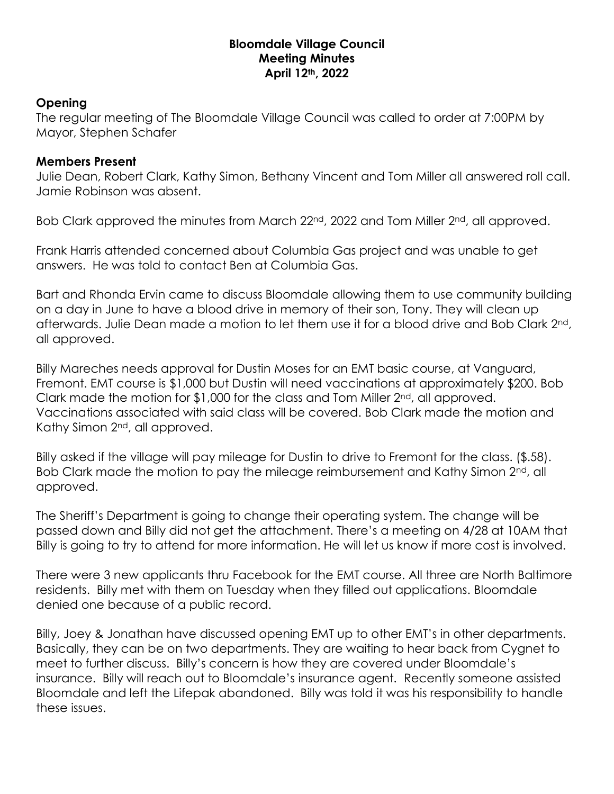## **Bloomdale Village Council Meeting Minutes April 12th, 2022**

## **Opening**

The regular meeting of The Bloomdale Village Council was called to order at 7:00PM by Mayor, Stephen Schafer

## **Members Present**

Julie Dean, Robert Clark, Kathy Simon, Bethany Vincent and Tom Miller all answered roll call. Jamie Robinson was absent.

Bob Clark approved the minutes from March 22<sup>nd</sup>, 2022 and Tom Miller 2<sup>nd</sup>, all approved.

Frank Harris attended concerned about Columbia Gas project and was unable to get answers. He was told to contact Ben at Columbia Gas.

Bart and Rhonda Ervin came to discuss Bloomdale allowing them to use community building on a day in June to have a blood drive in memory of their son, Tony. They will clean up afterwards. Julie Dean made a motion to let them use it for a blood drive and Bob Clark 2<sup>nd</sup>, all approved.

Billy Mareches needs approval for Dustin Moses for an EMT basic course, at Vanguard, Fremont. EMT course is \$1,000 but Dustin will need vaccinations at approximately \$200. Bob Clark made the motion for \$1,000 for the class and Tom Miller  $2^{nd}$ , all approved. Vaccinations associated with said class will be covered. Bob Clark made the motion and Kathy Simon 2<sup>nd</sup>, all approved.

Billy asked if the village will pay mileage for Dustin to drive to Fremont for the class. (\$.58). Bob Clark made the motion to pay the mileage reimbursement and Kathy Simon 2<sup>nd</sup>, all approved.

The Sheriff's Department is going to change their operating system. The change will be passed down and Billy did not get the attachment. There's a meeting on 4/28 at 10AM that Billy is going to try to attend for more information. He will let us know if more cost is involved.

There were 3 new applicants thru Facebook for the EMT course. All three are North Baltimore residents. Billy met with them on Tuesday when they filled out applications. Bloomdale denied one because of a public record.

Billy, Joey & Jonathan have discussed opening EMT up to other EMT's in other departments. Basically, they can be on two departments. They are waiting to hear back from Cygnet to meet to further discuss. Billy's concern is how they are covered under Bloomdale's insurance. Billy will reach out to Bloomdale's insurance agent. Recently someone assisted Bloomdale and left the Lifepak abandoned. Billy was told it was his responsibility to handle these issues.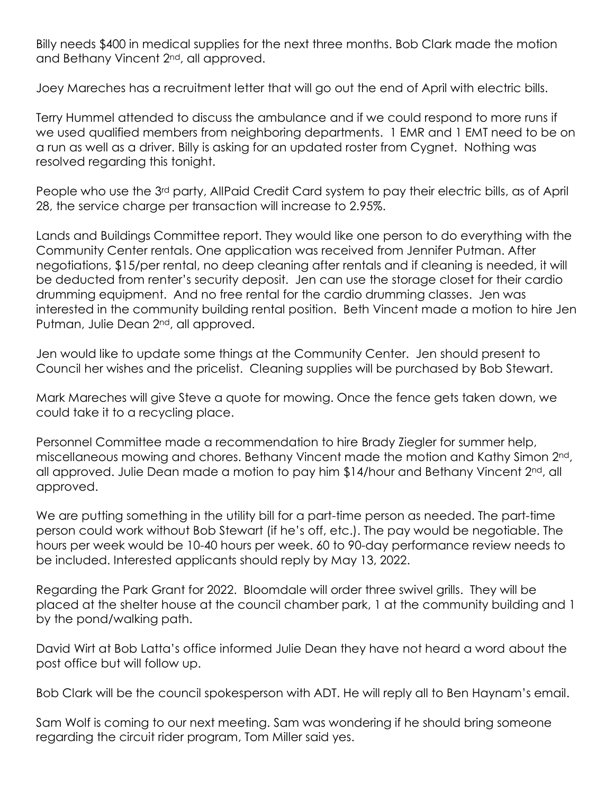Billy needs \$400 in medical supplies for the next three months. Bob Clark made the motion and Bethany Vincent 2nd, all approved.

Joey Mareches has a recruitment letter that will go out the end of April with electric bills.

Terry Hummel attended to discuss the ambulance and if we could respond to more runs if we used qualified members from neighboring departments. 1 EMR and 1 EMT need to be on a run as well as a driver. Billy is asking for an updated roster from Cygnet. Nothing was resolved regarding this tonight.

People who use the 3<sup>rd</sup> party, AllPaid Credit Card system to pay their electric bills, as of April 28, the service charge per transaction will increase to 2.95%.

Lands and Buildings Committee report. They would like one person to do everything with the Community Center rentals. One application was received from Jennifer Putman. After negotiations, \$15/per rental, no deep cleaning after rentals and if cleaning is needed, it will be deducted from renter's security deposit. Jen can use the storage closet for their cardio drumming equipment. And no free rental for the cardio drumming classes. Jen was interested in the community building rental position. Beth Vincent made a motion to hire Jen Putman, Julie Dean 2<sup>nd</sup>, all approved.

Jen would like to update some things at the Community Center. Jen should present to Council her wishes and the pricelist. Cleaning supplies will be purchased by Bob Stewart.

Mark Mareches will give Steve a quote for mowing. Once the fence gets taken down, we could take it to a recycling place.

Personnel Committee made a recommendation to hire Brady Ziegler for summer help, miscellaneous mowing and chores. Bethany Vincent made the motion and Kathy Simon 2nd, all approved. Julie Dean made a motion to pay him \$14/hour and Bethany Vincent 2<sup>nd</sup>, all approved.

We are putting something in the utility bill for a part-time person as needed. The part-time person could work without Bob Stewart (if he's off, etc.). The pay would be negotiable. The hours per week would be 10-40 hours per week. 60 to 90-day performance review needs to be included. Interested applicants should reply by May 13, 2022.

Regarding the Park Grant for 2022. Bloomdale will order three swivel grills. They will be placed at the shelter house at the council chamber park, 1 at the community building and 1 by the pond/walking path.

David Wirt at Bob Latta's office informed Julie Dean they have not heard a word about the post office but will follow up.

Bob Clark will be the council spokesperson with ADT. He will reply all to Ben Haynam's email.

Sam Wolf is coming to our next meeting. Sam was wondering if he should bring someone regarding the circuit rider program, Tom Miller said yes.